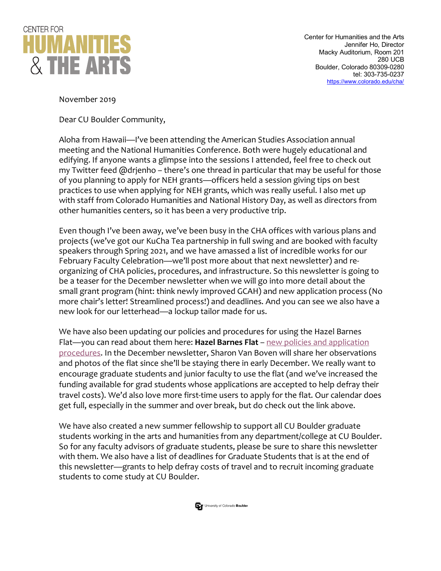

November 2019

Dear CU Boulder Community,

Aloha from Hawaii—I've been attending the American Studies Association annual meeting and the National Humanities Conference. Both were hugely educational and edifying. If anyone wants a glimpse into the sessions I attended, feel free to check out my Twitter feed @drjenho – there's one thread in particular that may be useful for those of you planning to apply for NEH grants—officers held a session giving tips on best practices to use when applying for NEH grants, which was really useful. I also met up with staff from Colorado Humanities and National History Day, as well as directors from other humanities centers, so it has been a very productive trip.

Even though I've been away, we've been busy in the CHA offices with various plans and projects (we've got our KuCha Tea partnership in full swing and are booked with faculty speakers through Spring 2021, and we have amassed a list of incredible works for our February Faculty Celebration—we'll post more about that next newsletter) and reorganizing of CHA policies, procedures, and infrastructure. So this newsletter is going to be a teaser for the December newsletter when we will go into more detail about the small grant program (hint: think newly improved GCAH) and new application process (No more chair's letter! Streamlined process!) and deadlines. And you can see we also have a new look for our letterhead—a lockup tailor made for us.

We have also been updating our policies and procedures for using the Hazel Barnes Flat—you can read about them here: **Hazel Barnes Flat** – new policies and application procedures. In the December newsletter, Sharon Van Boven will share her observations and photos of the flat since she'll be staying there in early December. We really want to encourage graduate students and junior faculty to use the flat (and we've increased the funding available for grad students whose applications are accepted to help defray their travel costs). We'd also love more first-time users to apply for the flat. Our calendar does get full, especially in the summer and over break, but do check out the link above.

We have also created a new summer fellowship to support all CU Boulder graduate students working in the arts and humanities from any department/college at CU Boulder. So for any faculty advisors of graduate students, please be sure to share this newsletter with them. We also have a list of deadlines for Graduate Students that is at the end of this newsletter—grants to help defray costs of travel and to recruit incoming graduate students to come study at CU Boulder.

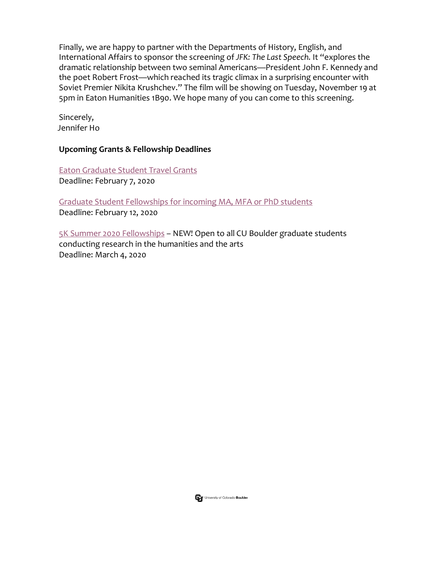Finally, we are happy to partner with the Departments of History, English, and International Affairs to sponsor the screening of *JFK: The Last Speech*. It "explores the dramatic relationship between two seminal Americans—President John F. Kennedy and the poet Robert Frost—which reached its tragic climax in a surprising encounter with Soviet Premier Nikita Krushchev." The film will be showing on Tuesday, November 19 at 5pm in Eaton Humanities 1B90. We hope many of you can come to this screening.

Sincerely, Jennifer Ho

## **Upcoming Grants & Fellowship Deadlines**

Eaton Graduate Student Travel Grants Deadline: February 7, 2020

Graduate Student Fellowships for incoming MA, MFA or PhD students Deadline: February 12, 2020

5K Summer 2020 Fellowships - NEW! Open to all CU Boulder graduate students conducting research in the humanities and the arts Deadline: March 4, 2020